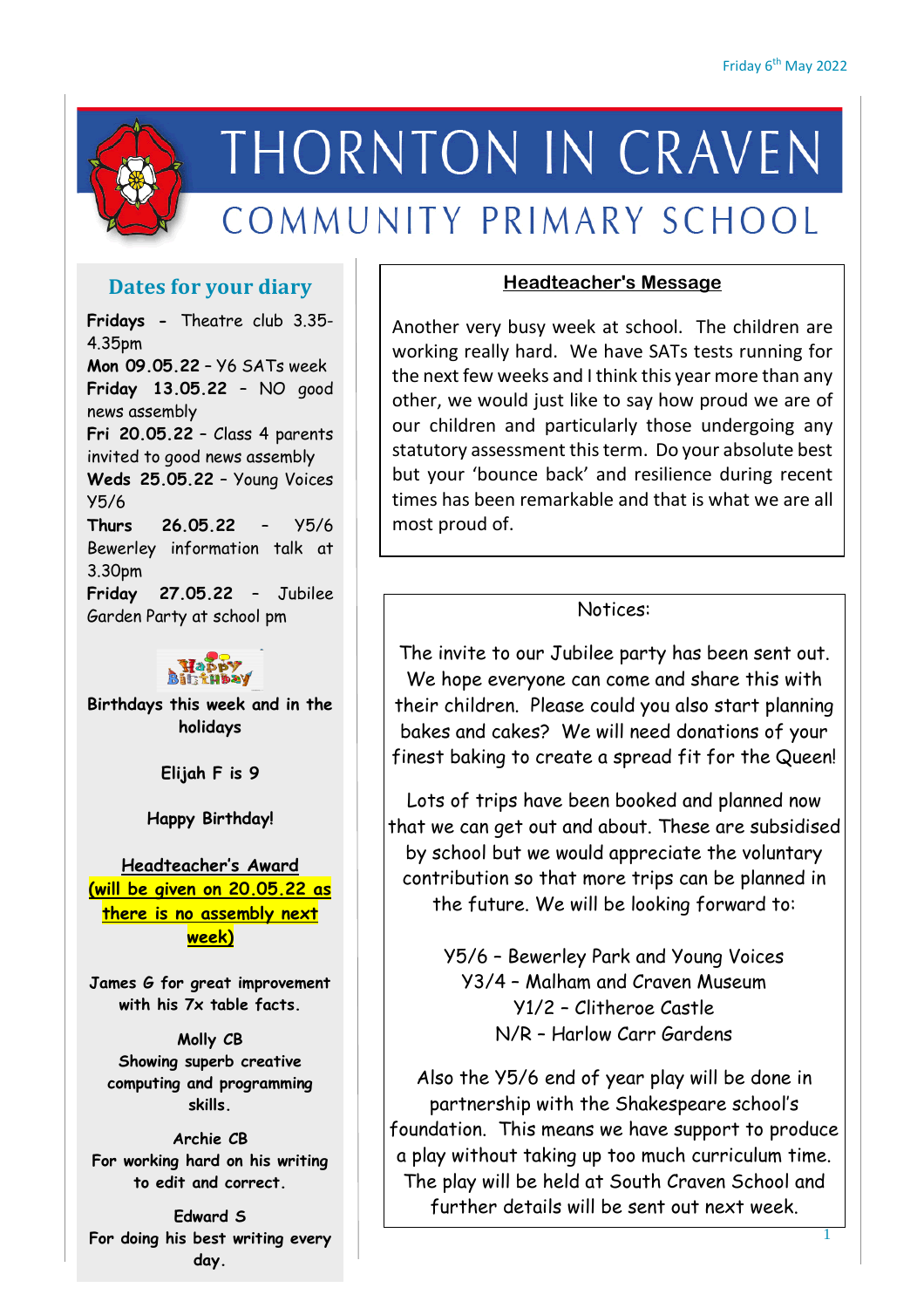

# THORNTON IN CRAVEN COMMUNITY PRIMARY SCHOOL

# **Dates for your diary**

**Fridays -** Theatre club 3.35- 4.35pm **Mon 09.05.22** – Y6 SATs week **Friday 13.05.22** – NO good news assembly **Fri 20.05.22** – Class 4 parents invited to good news assembly **Weds 25.05.22** – Young Voices Y5/6 **Thurs 26.05.22** – Y5/6 Bewerley information talk at 3.30pm **Friday 27.05.22** – Jubilee Garden Party at school pm



**Birthdays this week and in the holidays**

**Elijah F is 9**

**Happy Birthday!**

**Headteacher's Award (will be given on 20.05.22 as there is no assembly next week)**

**James G for great improvement with his 7x table facts.**

**Molly CB Showing superb creative computing and programming skills.**

**Archie CB For working hard on his writing to edit and correct.**

**Edward S For doing his best writing every day.**

### **Headteacher's Message**

Another very busy week at school. The children are working really hard. We have SATs tests running for the next few weeks and I think this year more than any other, we would just like to say how proud we are of our children and particularly those undergoing any statutory assessment this term. Do your absolute best but your 'bounce back' and resilience during recent times has been remarkable and that is what we are all most proud of.

# Notices:

The invite to our Jubilee party has been sent out. We hope everyone can come and share this with their children. Please could you also start planning bakes and cakes? We will need donations of your finest baking to create a spread fit for the Queen!

Lots of trips have been booked and planned now that we can get out and about. These are subsidised by school but we would appreciate the voluntary contribution so that more trips can be planned in the future. We will be looking forward to:

> Y5/6 – Bewerley Park and Young Voices Y3/4 – Malham and Craven Museum Y1/2 – Clitheroe Castle N/R – Harlow Carr Gardens

Also the Y5/6 end of year play will be done in partnership with the Shakespeare school's foundation. This means we have support to produce a play without taking up too much curriculum time. The play will be held at South Craven School and further details will be sent out next week.